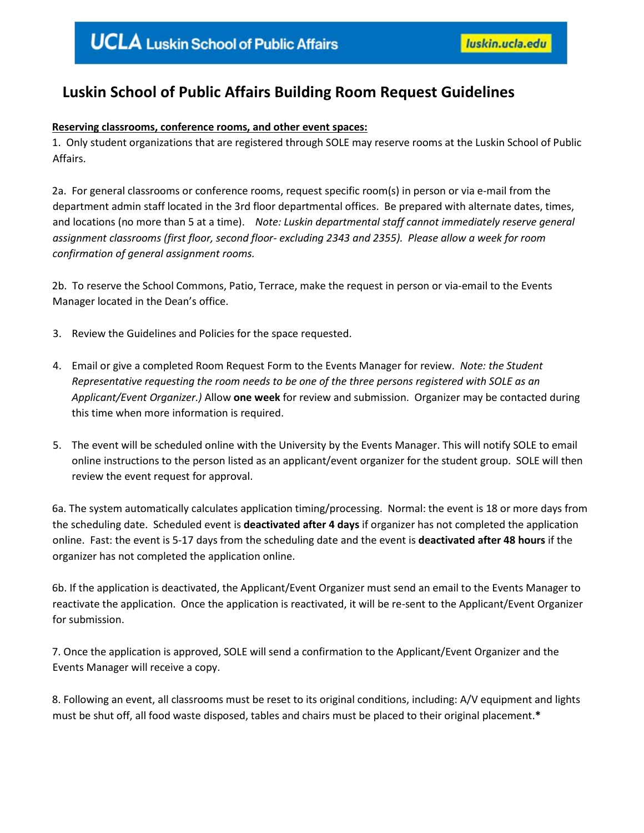# **Luskin School of Public Affairs Building Room Request Guidelines**

# **Reserving classrooms, conference rooms, and other event spaces:**

1. Only student organizations that are registered through SOLE may reserve rooms at the Luskin School of Public Affairs.

2a. For general classrooms or conference rooms, request specific room(s) in person or via e-mail from the department admin staff located in the 3rd floor departmental offices. Be prepared with alternate dates, times, and locations (no more than 5 at a time). *Note: Luskin departmental staff cannot immediately reserve general assignment classrooms (first floor, second floor- excluding 2343 and 2355). Please allow a week for room confirmation of general assignment rooms.*

2b. To reserve the School Commons, Patio, Terrace, make the request in person or via-email to the Events Manager located in the Dean's office.

- 3. Review the Guidelines and Policies for the space requested.
- 4. Email or give a completed Room Request Form to the Events Manager for review. *Note: the Student Representative requesting the room needs to be one of the three persons registered with SOLE as an Applicant/Event Organizer.)* Allow **one week** for review and submission. Organizer may be contacted during this time when more information is required.
- 5. The event will be scheduled online with the University by the Events Manager. This will notify SOLE to email online instructions to the person listed as an applicant/event organizer for the student group. SOLE will then review the event request for approval.

6a. The system automatically calculates application timing/processing. Normal: the event is 18 or more days from the scheduling date. Scheduled event is **deactivated after 4 days** if organizer has not completed the application online. Fast: the event is 5-17 days from the scheduling date and the event is **deactivated after 48 hours** if the organizer has not completed the application online.

6b. If the application is deactivated, the Applicant/Event Organizer must send an email to the Events Manager to reactivate the application. Once the application is reactivated, it will be re-sent to the Applicant/Event Organizer for submission.

7. Once the application is approved, SOLE will send a confirmation to the Applicant/Event Organizer and the Events Manager will receive a copy.

8. Following an event, all classrooms must be reset to its original conditions, including: A/V equipment and lights must be shut off, all food waste disposed, tables and chairs must be placed to their original placement.**\***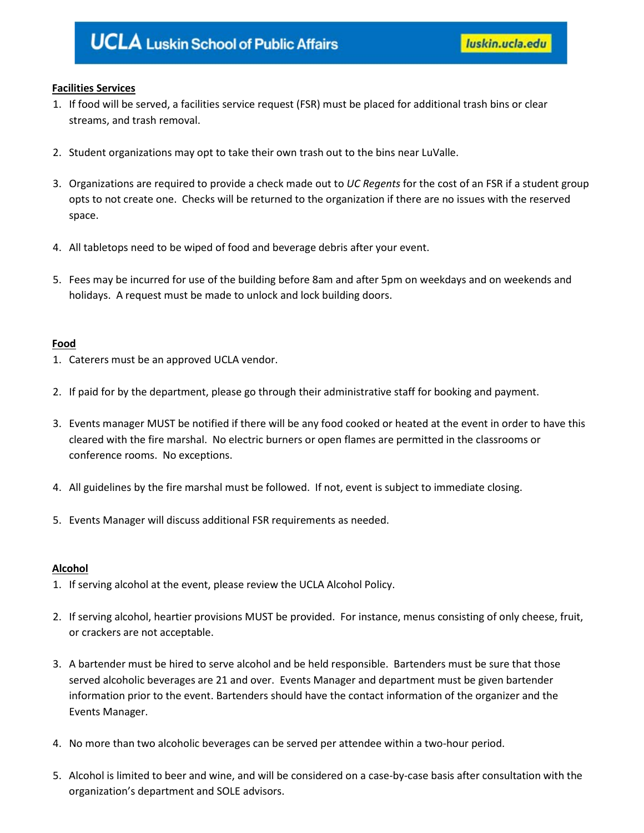# **Facilities Services**

- 1. If food will be served, a facilities service request (FSR) must be placed for additional trash bins or clear streams, and trash removal.
- 2. Student organizations may opt to take their own trash out to the bins near LuValle.
- 3. Organizations are required to provide a check made out to *UC Regents* for the cost of an FSR if a student group opts to not create one. Checks will be returned to the organization if there are no issues with the reserved space.
- 4. All tabletops need to be wiped of food and beverage debris after your event.
- 5. Fees may be incurred for use of the building before 8am and after 5pm on weekdays and on weekends and holidays. A request must be made to unlock and lock building doors.

## **Food**

- 1. Caterers must be an approved UCLA vendor.
- 2. If paid for by the department, please go through their administrative staff for booking and payment.
- 3. Events manager MUST be notified if there will be any food cooked or heated at the event in order to have this cleared with the fire marshal. No electric burners or open flames are permitted in the classrooms or conference rooms. No exceptions.
- 4. All guidelines by the fire marshal must be followed. If not, event is subject to immediate closing.
- 5. Events Manager will discuss additional FSR requirements as needed.

## **Alcohol**

- 1. If serving alcohol at the event, please review the UCLA Alcohol Policy.
- 2. If serving alcohol, heartier provisions MUST be provided. For instance, menus consisting of only cheese, fruit, or crackers are not acceptable.
- 3. A bartender must be hired to serve alcohol and be held responsible. Bartenders must be sure that those served alcoholic beverages are 21 and over. Events Manager and department must be given bartender information prior to the event. Bartenders should have the contact information of the organizer and the Events Manager.
- 4. No more than two alcoholic beverages can be served per attendee within a two-hour period.
- 5. Alcohol is limited to beer and wine, and will be considered on a case-by-case basis after consultation with the organization's department and SOLE advisors.